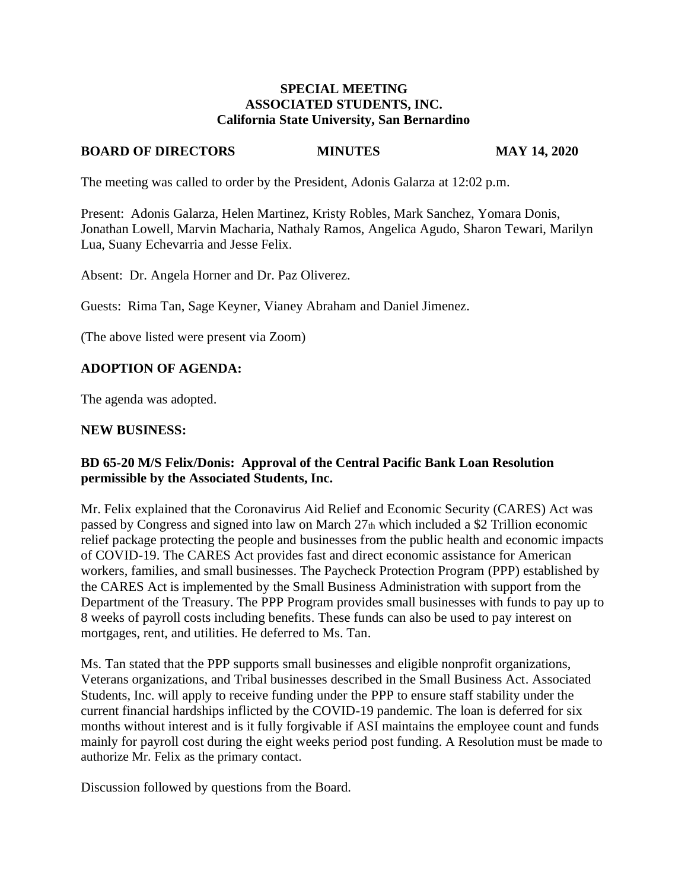#### **SPECIAL MEETING ASSOCIATED STUDENTS, INC. California State University, San Bernardino**

### **BOARD OF DIRECTORS MINUTES MAY 14, 2020**

The meeting was called to order by the President, Adonis Galarza at 12:02 p.m.

Present: Adonis Galarza, Helen Martinez, Kristy Robles, Mark Sanchez, Yomara Donis, Jonathan Lowell, Marvin Macharia, Nathaly Ramos, Angelica Agudo, Sharon Tewari, Marilyn Lua, Suany Echevarria and Jesse Felix.

Absent: Dr. Angela Horner and Dr. Paz Oliverez.

Guests: Rima Tan, Sage Keyner, Vianey Abraham and Daniel Jimenez.

(The above listed were present via Zoom)

# **ADOPTION OF AGENDA:**

The agenda was adopted.

### **NEW BUSINESS:**

## **BD 65-20 M/S Felix/Donis: Approval of the Central Pacific Bank Loan Resolution permissible by the Associated Students, Inc.**

Mr. Felix explained that the Coronavirus Aid Relief and Economic Security (CARES) Act was passed by Congress and signed into law on March 27th which included a \$2 Trillion economic relief package protecting the people and businesses from the public health and economic impacts of COVID-19. The CARES Act provides fast and direct economic assistance for American workers, families, and small businesses. The Paycheck Protection Program (PPP) established by the CARES Act is implemented by the Small Business Administration with support from the Department of the Treasury. The PPP Program provides small businesses with funds to pay up to 8 weeks of payroll costs including benefits. These funds can also be used to pay interest on mortgages, rent, and utilities. He deferred to Ms. Tan.

Ms. Tan stated that the PPP supports small businesses and eligible nonprofit organizations, Veterans organizations, and Tribal businesses described in the Small Business Act. Associated Students, Inc. will apply to receive funding under the PPP to ensure staff stability under the current financial hardships inflicted by the COVID-19 pandemic. The loan is deferred for six months without interest and is it fully forgivable if ASI maintains the employee count and funds mainly for payroll cost during the eight weeks period post funding. A Resolution must be made to authorize Mr. Felix as the primary contact.

Discussion followed by questions from the Board.